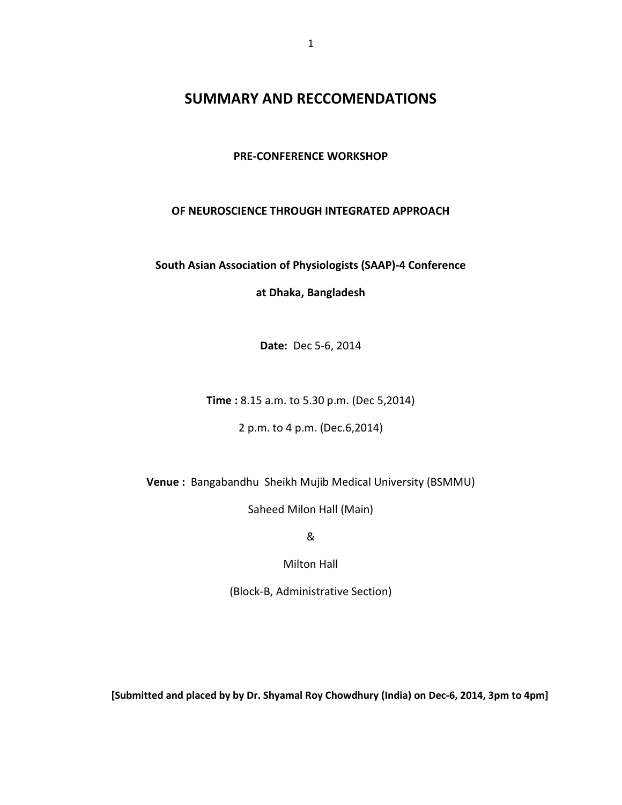# **SUMMARY AND RECCOMENDATIONS**

**PRE-CONFERENCE WORKSHOP** 

### **OF NEUROSCIENCE THROUGH INTEGRATED APPROACH**

## **South Asian Association of Physiologists (SAAP)-4 Conference**

**at Dhaka, Bangladesh** 

**Date:** Dec 5-6, 2014

**Time :** 8.15 a.m. to 5.30 p.m. (Dec 5,2014)

2 p.m. to 4 p.m. (Dec.6,2014)

**Venue :** Bangabandhu Sheikh Mujib Medical University (BSMMU)

Saheed Milon Hall (Main)

&

Milton Hall

(Block-B, Administrative Section)

**[Submitted and placed by by Dr. Shyamal Roy Chowdhury (India) on Dec-6, 2014, 3pm to 4pm]**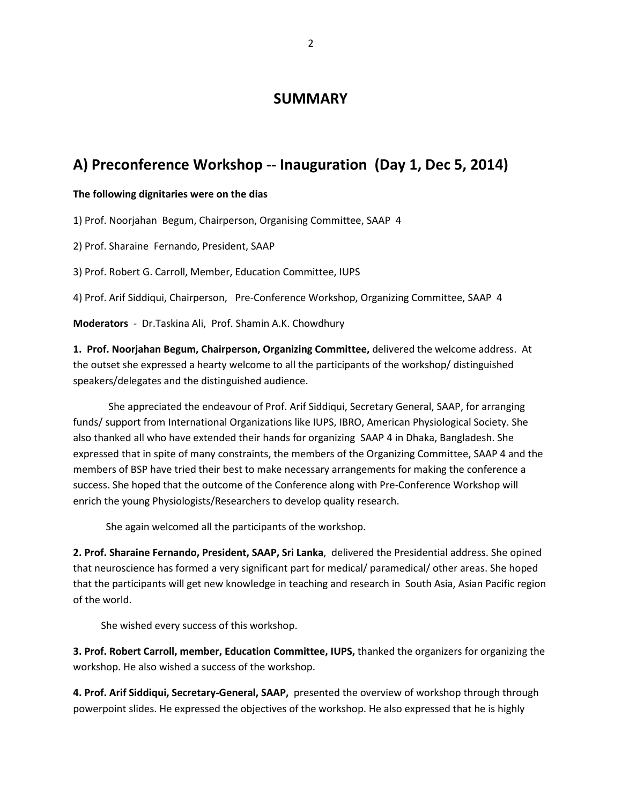# **SUMMARY**

# **A) Preconference Workshop -- Inauguration (Day 1, Dec 5, 2014)**

#### **The following dignitaries were on the dias**

1) Prof. Noorjahan Begum, Chairperson, Organising Committee, SAAP 4

2) Prof. Sharaine Fernando, President, SAAP

3) Prof. Robert G. Carroll, Member, Education Committee, IUPS

4) Prof. Arif Siddiqui, Chairperson, Pre-Conference Workshop, Organizing Committee, SAAP 4

**Moderators** - Dr.Taskina Ali, Prof. Shamin A.K. Chowdhury

**1. Prof. Noorjahan Begum, Chairperson, Organizing Committee,** delivered the welcome address. At the outset she expressed a hearty welcome to all the participants of the workshop/ distinguished speakers/delegates and the distinguished audience.

 She appreciated the endeavour of Prof. Arif Siddiqui, Secretary General, SAAP, for arranging funds/ support from International Organizations like IUPS, IBRO, American Physiological Society. She also thanked all who have extended their hands for organizing SAAP 4 in Dhaka, Bangladesh. She expressed that in spite of many constraints, the members of the Organizing Committee, SAAP 4 and the members of BSP have tried their best to make necessary arrangements for making the conference a success. She hoped that the outcome of the Conference along with Pre-Conference Workshop will enrich the young Physiologists/Researchers to develop quality research.

She again welcomed all the participants of the workshop.

**2. Prof. Sharaine Fernando, President, SAAP, Sri Lanka**, delivered the Presidential address. She opined that neuroscience has formed a very significant part for medical/ paramedical/ other areas. She hoped that the participants will get new knowledge in teaching and research in South Asia, Asian Pacific region of the world.

She wished every success of this workshop.

**3. Prof. Robert Carroll, member, Education Committee, IUPS,** thanked the organizers for organizing the workshop. He also wished a success of the workshop.

**4. Prof. Arif Siddiqui, Secretary-General, SAAP,** presented the overview of workshop through through powerpoint slides. He expressed the objectives of the workshop. He also expressed that he is highly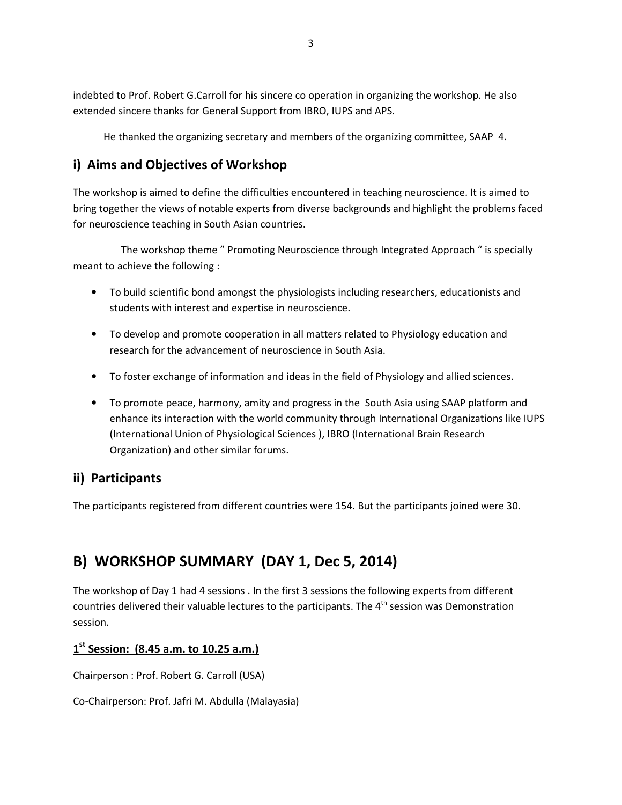indebted to Prof. Robert G.Carroll for his sincere co operation in organizing the workshop. He also extended sincere thanks for General Support from IBRO, IUPS and APS.

He thanked the organizing secretary and members of the organizing committee, SAAP 4.

# **i) Aims and Objectives of Workshop**

The workshop is aimed to define the difficulties encountered in teaching neuroscience. It is aimed to bring together the views of notable experts from diverse backgrounds and highlight the problems faced for neuroscience teaching in South Asian countries.

 The workshop theme " Promoting Neuroscience through Integrated Approach " is specially meant to achieve the following :

- To build scientific bond amongst the physiologists including researchers, educationists and students with interest and expertise in neuroscience.
- To develop and promote cooperation in all matters related to Physiology education and research for the advancement of neuroscience in South Asia.
- To foster exchange of information and ideas in the field of Physiology and allied sciences.
- To promote peace, harmony, amity and progress in the South Asia using SAAP platform and enhance its interaction with the world community through International Organizations like IUPS (International Union of Physiological Sciences ), IBRO (International Brain Research Organization) and other similar forums.

# **ii) Participants**

The participants registered from different countries were 154. But the participants joined were 30.

# **B) WORKSHOP SUMMARY (DAY 1, Dec 5, 2014)**

The workshop of Day 1 had 4 sessions . In the first 3 sessions the following experts from different countries delivered their valuable lectures to the participants. The 4<sup>th</sup> session was Demonstration session.

# **1 st Session: (8.45 a.m. to 10.25 a.m.)**

Chairperson : Prof. Robert G. Carroll (USA)

Co-Chairperson: Prof. Jafri M. Abdulla (Malayasia)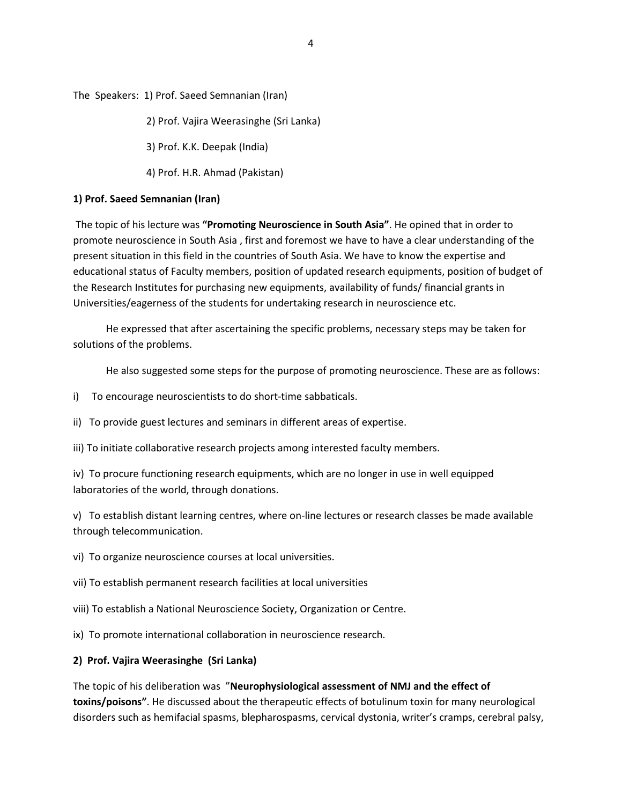The Speakers: 1) Prof. Saeed Semnanian (Iran)

2) Prof. Vajira Weerasinghe (Sri Lanka)

3) Prof. K.K. Deepak (India)

4) Prof. H.R. Ahmad (Pakistan)

### **1) Prof. Saeed Semnanian (Iran)**

 The topic of his lecture was **"Promoting Neuroscience in South Asia"**. He opined that in order to promote neuroscience in South Asia , first and foremost we have to have a clear understanding of the present situation in this field in the countries of South Asia. We have to know the expertise and educational status of Faculty members, position of updated research equipments, position of budget of the Research Institutes for purchasing new equipments, availability of funds/ financial grants in Universities/eagerness of the students for undertaking research in neuroscience etc.

 He expressed that after ascertaining the specific problems, necessary steps may be taken for solutions of the problems.

He also suggested some steps for the purpose of promoting neuroscience. These are as follows:

- i) To encourage neuroscientists to do short-time sabbaticals.
- ii) To provide guest lectures and seminars in different areas of expertise.
- iii) To initiate collaborative research projects among interested faculty members.

iv) To procure functioning research equipments, which are no longer in use in well equipped laboratories of the world, through donations.

v) To establish distant learning centres, where on-line lectures or research classes be made available through telecommunication.

- vi) To organize neuroscience courses at local universities.
- vii) To establish permanent research facilities at local universities
- viii) To establish a National Neuroscience Society, Organization or Centre.
- ix) To promote international collaboration in neuroscience research.

#### **2) Prof. Vajira Weerasinghe (Sri Lanka)**

The topic of his deliberation was "**Neurophysiological assessment of NMJ and the effect of toxins/poisons"**. He discussed about the therapeutic effects of botulinum toxin for many neurological disorders such as hemifacial spasms, blepharospasms, cervical dystonia, writer's cramps, cerebral palsy,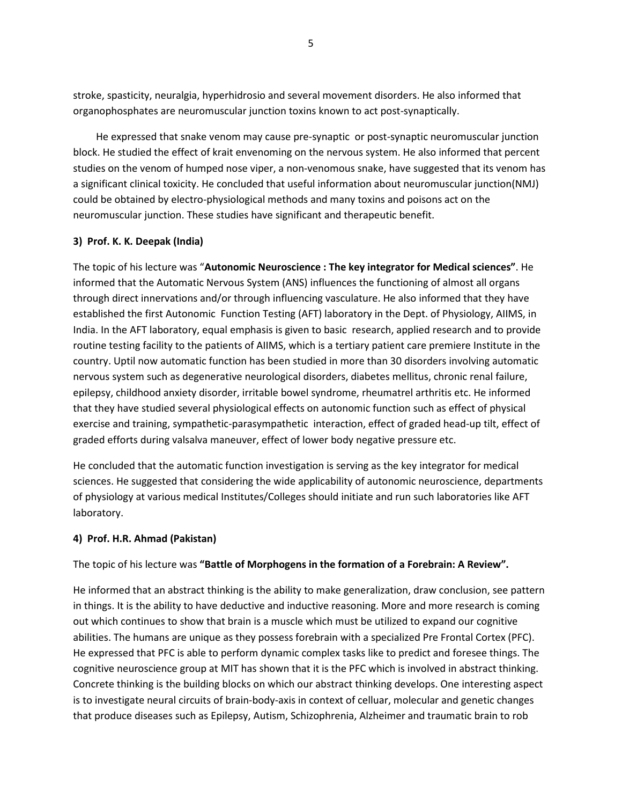stroke, spasticity, neuralgia, hyperhidrosio and several movement disorders. He also informed that organophosphates are neuromuscular junction toxins known to act post-synaptically.

 He expressed that snake venom may cause pre-synaptic or post-synaptic neuromuscular junction block. He studied the effect of krait envenoming on the nervous system. He also informed that percent studies on the venom of humped nose viper, a non-venomous snake, have suggested that its venom has a significant clinical toxicity. He concluded that useful information about neuromuscular junction(NMJ) could be obtained by electro-physiological methods and many toxins and poisons act on the neuromuscular junction. These studies have significant and therapeutic benefit.

### **3) Prof. K. K. Deepak (India)**

The topic of his lecture was "**Autonomic Neuroscience : The key integrator for Medical sciences"**. He informed that the Automatic Nervous System (ANS) influences the functioning of almost all organs through direct innervations and/or through influencing vasculature. He also informed that they have established the first Autonomic Function Testing (AFT) laboratory in the Dept. of Physiology, AIIMS, in India. In the AFT laboratory, equal emphasis is given to basic research, applied research and to provide routine testing facility to the patients of AIIMS, which is a tertiary patient care premiere Institute in the country. Uptil now automatic function has been studied in more than 30 disorders involving automatic nervous system such as degenerative neurological disorders, diabetes mellitus, chronic renal failure, epilepsy, childhood anxiety disorder, irritable bowel syndrome, rheumatrel arthritis etc. He informed that they have studied several physiological effects on autonomic function such as effect of physical exercise and training, sympathetic-parasympathetic interaction, effect of graded head-up tilt, effect of graded efforts during valsalva maneuver, effect of lower body negative pressure etc.

He concluded that the automatic function investigation is serving as the key integrator for medical sciences. He suggested that considering the wide applicability of autonomic neuroscience, departments of physiology at various medical Institutes/Colleges should initiate and run such laboratories like AFT laboratory.

### **4) Prof. H.R. Ahmad (Pakistan)**

### The topic of his lecture was **"Battle of Morphogens in the formation of a Forebrain: A Review".**

He informed that an abstract thinking is the ability to make generalization, draw conclusion, see pattern in things. It is the ability to have deductive and inductive reasoning. More and more research is coming out which continues to show that brain is a muscle which must be utilized to expand our cognitive abilities. The humans are unique as they possess forebrain with a specialized Pre Frontal Cortex (PFC). He expressed that PFC is able to perform dynamic complex tasks like to predict and foresee things. The cognitive neuroscience group at MIT has shown that it is the PFC which is involved in abstract thinking. Concrete thinking is the building blocks on which our abstract thinking develops. One interesting aspect is to investigate neural circuits of brain-body-axis in context of celluar, molecular and genetic changes that produce diseases such as Epilepsy, Autism, Schizophrenia, Alzheimer and traumatic brain to rob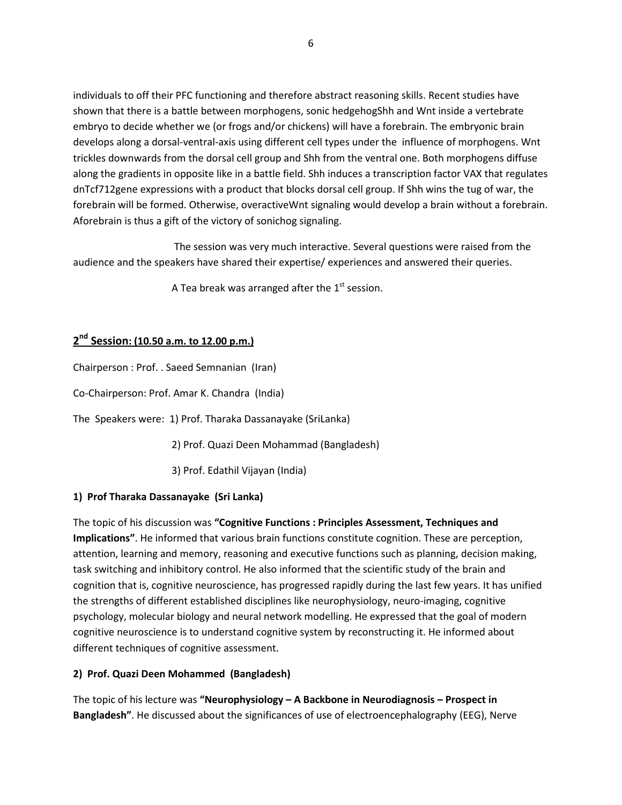individuals to off their PFC functioning and therefore abstract reasoning skills. Recent studies have shown that there is a battle between morphogens, sonic hedgehogShh and Wnt inside a vertebrate embryo to decide whether we (or frogs and/or chickens) will have a forebrain. The embryonic brain develops along a dorsal-ventral-axis using different cell types under the influence of morphogens. Wnt trickles downwards from the dorsal cell group and Shh from the ventral one. Both morphogens diffuse along the gradients in opposite like in a battle field. Shh induces a transcription factor VAX that regulates dnTcf712gene expressions with a product that blocks dorsal cell group. If Shh wins the tug of war, the forebrain will be formed. Otherwise, overactiveWnt signaling would develop a brain without a forebrain. Aforebrain is thus a gift of the victory of sonichog signaling.

 The session was very much interactive. Several questions were raised from the audience and the speakers have shared their expertise/ experiences and answered their queries.

A Tea break was arranged after the  $1<sup>st</sup>$  session.

# **2 nd Session: (10.50 a.m. to 12.00 p.m.)**

Chairperson : Prof. . Saeed Semnanian (Iran)

Co-Chairperson: Prof. Amar K. Chandra (India)

The Speakers were: 1) Prof. Tharaka Dassanayake (SriLanka)

2) Prof. Quazi Deen Mohammad (Bangladesh)

3) Prof. Edathil Vijayan (India)

## **1) Prof Tharaka Dassanayake (Sri Lanka)**

The topic of his discussion was **"Cognitive Functions : Principles Assessment, Techniques and Implications"**. He informed that various brain functions constitute cognition. These are perception, attention, learning and memory, reasoning and executive functions such as planning, decision making, task switching and inhibitory control. He also informed that the scientific study of the brain and cognition that is, cognitive neuroscience, has progressed rapidly during the last few years. It has unified the strengths of different established disciplines like neurophysiology, neuro-imaging, cognitive psychology, molecular biology and neural network modelling. He expressed that the goal of modern cognitive neuroscience is to understand cognitive system by reconstructing it. He informed about different techniques of cognitive assessment.

## **2) Prof. Quazi Deen Mohammed (Bangladesh)**

The topic of his lecture was **"Neurophysiology – A Backbone in Neurodiagnosis – Prospect in Bangladesh"**. He discussed about the significances of use of electroencephalography (EEG), Nerve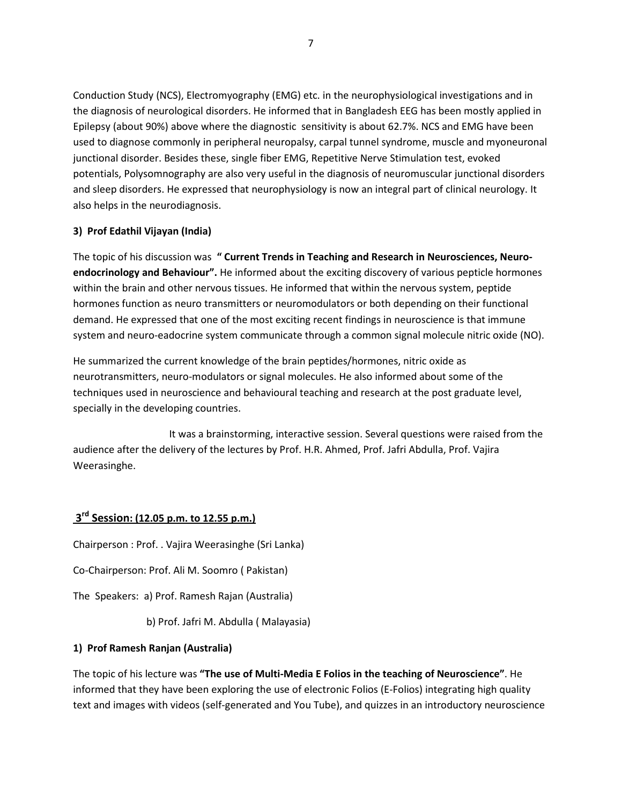Conduction Study (NCS), Electromyography (EMG) etc. in the neurophysiological investigations and in the diagnosis of neurological disorders. He informed that in Bangladesh EEG has been mostly applied in Epilepsy (about 90%) above where the diagnostic sensitivity is about 62.7%. NCS and EMG have been used to diagnose commonly in peripheral neuropalsy, carpal tunnel syndrome, muscle and myoneuronal junctional disorder. Besides these, single fiber EMG, Repetitive Nerve Stimulation test, evoked potentials, Polysomnography are also very useful in the diagnosis of neuromuscular junctional disorders and sleep disorders. He expressed that neurophysiology is now an integral part of clinical neurology. It also helps in the neurodiagnosis.

### **3) Prof Edathil Vijayan (India)**

The topic of his discussion was **" Current Trends in Teaching and Research in Neurosciences, Neuroendocrinology and Behaviour".** He informed about the exciting discovery of various pepticle hormones within the brain and other nervous tissues. He informed that within the nervous system, peptide hormones function as neuro transmitters or neuromodulators or both depending on their functional demand. He expressed that one of the most exciting recent findings in neuroscience is that immune system and neuro-eadocrine system communicate through a common signal molecule nitric oxide (NO).

He summarized the current knowledge of the brain peptides/hormones, nitric oxide as neurotransmitters, neuro-modulators or signal molecules. He also informed about some of the techniques used in neuroscience and behavioural teaching and research at the post graduate level, specially in the developing countries.

 It was a brainstorming, interactive session. Several questions were raised from the audience after the delivery of the lectures by Prof. H.R. Ahmed, Prof. Jafri Abdulla, Prof. Vajira Weerasinghe.

# **3 rd Session: (12.05 p.m. to 12.55 p.m.)**

Chairperson : Prof. . Vajira Weerasinghe (Sri Lanka)

Co-Chairperson: Prof. Ali M. Soomro ( Pakistan)

The Speakers: a) Prof. Ramesh Rajan (Australia)

b) Prof. Jafri M. Abdulla ( Malayasia)

## **1) Prof Ramesh Ranjan (Australia)**

The topic of his lecture was **"The use of Multi-Media E Folios in the teaching of Neuroscience"**. He informed that they have been exploring the use of electronic Folios (E-Folios) integrating high quality text and images with videos (self-generated and You Tube), and quizzes in an introductory neuroscience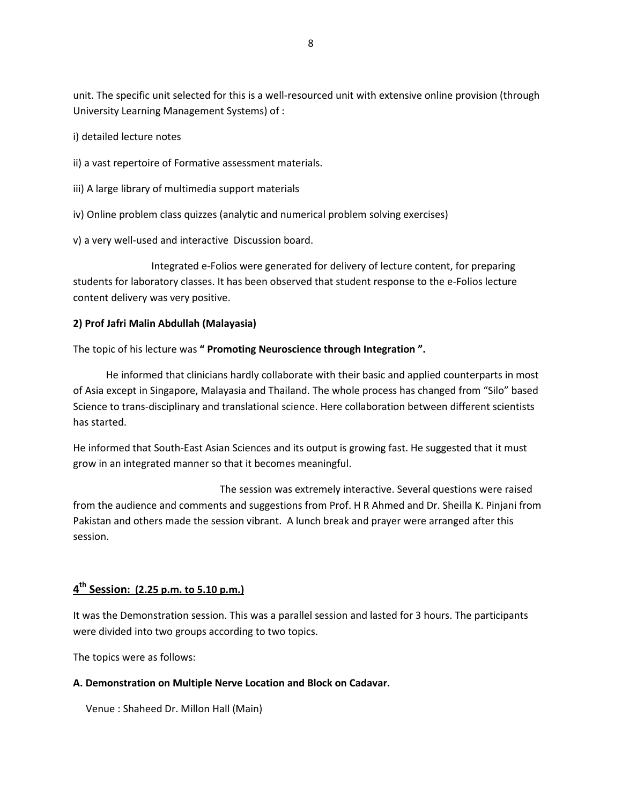unit. The specific unit selected for this is a well-resourced unit with extensive online provision (through University Learning Management Systems) of :

i) detailed lecture notes

- ii) a vast repertoire of Formative assessment materials.
- iii) A large library of multimedia support materials
- iv) Online problem class quizzes (analytic and numerical problem solving exercises)
- v) a very well-used and interactive Discussion board.

 Integrated e-Folios were generated for delivery of lecture content, for preparing students for laboratory classes. It has been observed that student response to the e-Folios lecture content delivery was very positive.

#### **2) Prof Jafri Malin Abdullah (Malayasia)**

The topic of his lecture was **" Promoting Neuroscience through Integration ".** 

 He informed that clinicians hardly collaborate with their basic and applied counterparts in most of Asia except in Singapore, Malayasia and Thailand. The whole process has changed from "Silo" based Science to trans-disciplinary and translational science. Here collaboration between different scientists has started.

He informed that South-East Asian Sciences and its output is growing fast. He suggested that it must grow in an integrated manner so that it becomes meaningful.

 The session was extremely interactive. Several questions were raised from the audience and comments and suggestions from Prof. H R Ahmed and Dr. Sheilla K. Pinjani from Pakistan and others made the session vibrant. A lunch break and prayer were arranged after this session.

# **4 th Session: (2.25 p.m. to 5.10 p.m.)**

It was the Demonstration session. This was a parallel session and lasted for 3 hours. The participants were divided into two groups according to two topics.

The topics were as follows:

#### **A. Demonstration on Multiple Nerve Location and Block on Cadavar.**

```
 Venue : Shaheed Dr. Millon Hall (Main)
```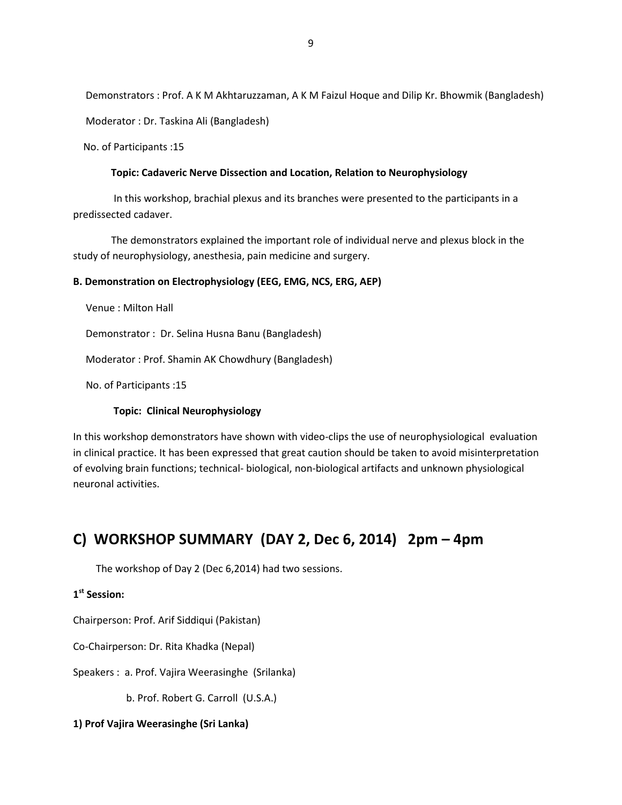Demonstrators : Prof. A K M Akhtaruzzaman, A K M Faizul Hoque and Dilip Kr. Bhowmik (Bangladesh)

Moderator : Dr. Taskina Ali (Bangladesh)

No. of Participants :15

## **Topic: Cadaveric Nerve Dissection and Location, Relation to Neurophysiology**

 In this workshop, brachial plexus and its branches were presented to the participants in a predissected cadaver.

 The demonstrators explained the important role of individual nerve and plexus block in the study of neurophysiology, anesthesia, pain medicine and surgery.

## **B. Demonstration on Electrophysiology (EEG, EMG, NCS, ERG, AEP)**

 Venue : Milton Hall Demonstrator : Dr. Selina Husna Banu (Bangladesh)

Moderator : Prof. Shamin AK Chowdhury (Bangladesh)

No. of Participants :15

## **Topic: Clinical Neurophysiology**

In this workshop demonstrators have shown with video-clips the use of neurophysiological evaluation in clinical practice. It has been expressed that great caution should be taken to avoid misinterpretation of evolving brain functions; technical- biological, non-biological artifacts and unknown physiological neuronal activities.

# **C) WORKSHOP SUMMARY (DAY 2, Dec 6, 2014) 2pm – 4pm**

The workshop of Day 2 (Dec 6,2014) had two sessions.

## **1 st Session:**

Chairperson: Prof. Arif Siddiqui (Pakistan)

Co-Chairperson: Dr. Rita Khadka (Nepal)

Speakers : a. Prof. Vajira Weerasinghe (Srilanka)

b. Prof. Robert G. Carroll (U.S.A.)

## **1) Prof Vajira Weerasinghe (Sri Lanka)**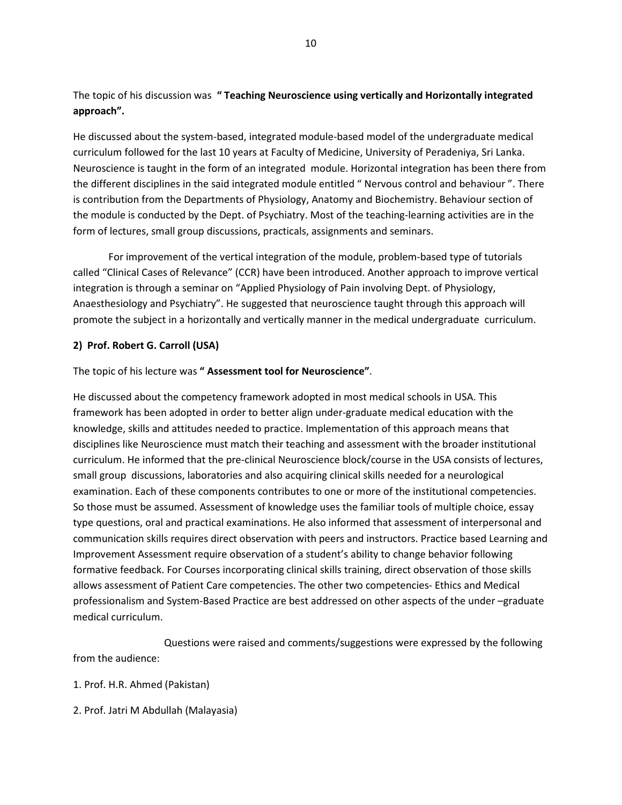The topic of his discussion was **" Teaching Neuroscience using vertically and Horizontally integrated approach".** 

He discussed about the system-based, integrated module-based model of the undergraduate medical curriculum followed for the last 10 years at Faculty of Medicine, University of Peradeniya, Sri Lanka. Neuroscience is taught in the form of an integrated module. Horizontal integration has been there from the different disciplines in the said integrated module entitled " Nervous control and behaviour ". There is contribution from the Departments of Physiology, Anatomy and Biochemistry. Behaviour section of the module is conducted by the Dept. of Psychiatry. Most of the teaching-learning activities are in the form of lectures, small group discussions, practicals, assignments and seminars.

 For improvement of the vertical integration of the module, problem-based type of tutorials called "Clinical Cases of Relevance" (CCR) have been introduced. Another approach to improve vertical integration is through a seminar on "Applied Physiology of Pain involving Dept. of Physiology, Anaesthesiology and Psychiatry". He suggested that neuroscience taught through this approach will promote the subject in a horizontally and vertically manner in the medical undergraduate curriculum.

### **2) Prof. Robert G. Carroll (USA)**

The topic of his lecture was **" Assessment tool for Neuroscience"**.

He discussed about the competency framework adopted in most medical schools in USA. This framework has been adopted in order to better align under-graduate medical education with the knowledge, skills and attitudes needed to practice. Implementation of this approach means that disciplines like Neuroscience must match their teaching and assessment with the broader institutional curriculum. He informed that the pre-clinical Neuroscience block/course in the USA consists of lectures, small group discussions, laboratories and also acquiring clinical skills needed for a neurological examination. Each of these components contributes to one or more of the institutional competencies. So those must be assumed. Assessment of knowledge uses the familiar tools of multiple choice, essay type questions, oral and practical examinations. He also informed that assessment of interpersonal and communication skills requires direct observation with peers and instructors. Practice based Learning and Improvement Assessment require observation of a student's ability to change behavior following formative feedback. For Courses incorporating clinical skills training, direct observation of those skills allows assessment of Patient Care competencies. The other two competencies- Ethics and Medical professionalism and System-Based Practice are best addressed on other aspects of the under –graduate medical curriculum.

 Questions were raised and comments/suggestions were expressed by the following from the audience:

- 1. Prof. H.R. Ahmed (Pakistan)
- 2. Prof. Jatri M Abdullah (Malayasia)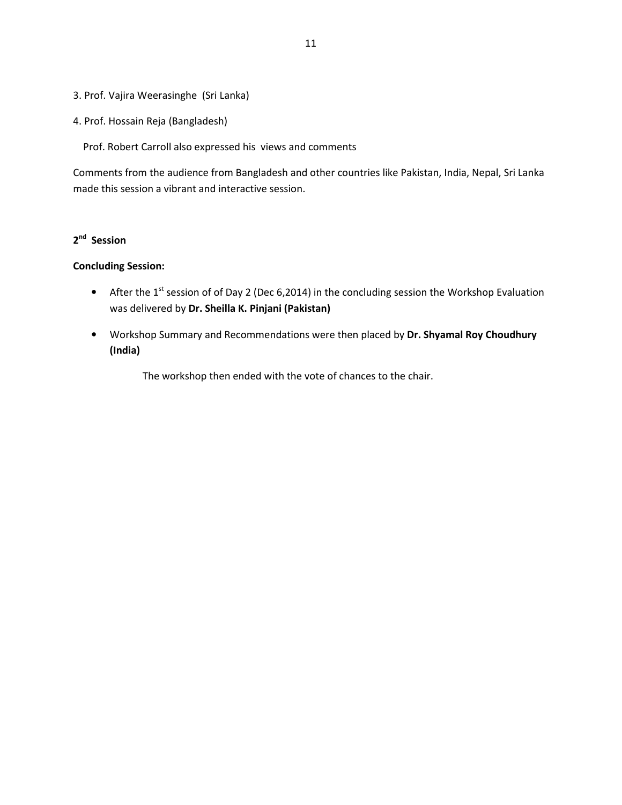- 3. Prof. Vajira Weerasinghe (Sri Lanka)
- 4. Prof. Hossain Reja (Bangladesh)

Prof. Robert Carroll also expressed his views and comments

Comments from the audience from Bangladesh and other countries like Pakistan, India, Nepal, Sri Lanka made this session a vibrant and interactive session.

## **2 nd Session**

#### **Concluding Session:**

- After the 1<sup>st</sup> session of of Day 2 (Dec 6,2014) in the concluding session the Workshop Evaluation was delivered by **Dr. Sheilla K. Pinjani (Pakistan)**
- Workshop Summary and Recommendations were then placed by **Dr. Shyamal Roy Choudhury (India)**

The workshop then ended with the vote of chances to the chair.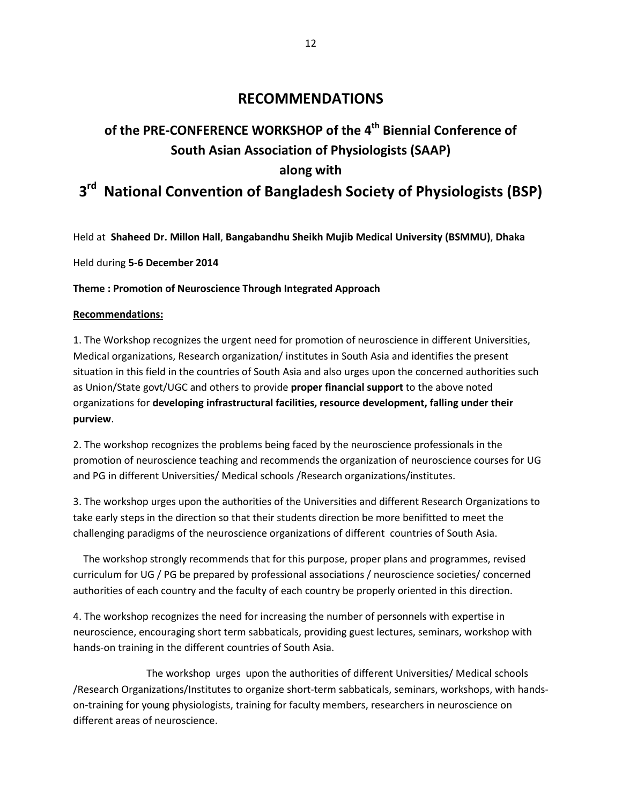# **RECOMMENDATIONS**

# **of the PRE-CONFERENCE WORKSHOP of the 4th Biennial Conference of South Asian Association of Physiologists (SAAP) along with**

# **3 rd National Convention of Bangladesh Society of Physiologists (BSP)**

Held at **Shaheed Dr. Millon Hall**, **Bangabandhu Sheikh Mujib Medical University (BSMMU)**, **Dhaka**

Held during **5-6 December 2014** 

### **Theme : Promotion of Neuroscience Through Integrated Approach**

#### **Recommendations:**

1. The Workshop recognizes the urgent need for promotion of neuroscience in different Universities, Medical organizations, Research organization/ institutes in South Asia and identifies the present situation in this field in the countries of South Asia and also urges upon the concerned authorities such as Union/State govt/UGC and others to provide **proper financial support** to the above noted organizations for **developing infrastructural facilities, resource development, falling under their purview**.

2. The workshop recognizes the problems being faced by the neuroscience professionals in the promotion of neuroscience teaching and recommends the organization of neuroscience courses for UG and PG in different Universities/ Medical schools /Research organizations/institutes.

3. The workshop urges upon the authorities of the Universities and different Research Organizations to take early steps in the direction so that their students direction be more benifitted to meet the challenging paradigms of the neuroscience organizations of different countries of South Asia.

 The workshop strongly recommends that for this purpose, proper plans and programmes, revised curriculum for UG / PG be prepared by professional associations / neuroscience societies/ concerned authorities of each country and the faculty of each country be properly oriented in this direction.

4. The workshop recognizes the need for increasing the number of personnels with expertise in neuroscience, encouraging short term sabbaticals, providing guest lectures, seminars, workshop with hands-on training in the different countries of South Asia.

 The workshop urges upon the authorities of different Universities/ Medical schools /Research Organizations/Institutes to organize short-term sabbaticals, seminars, workshops, with handson-training for young physiologists, training for faculty members, researchers in neuroscience on different areas of neuroscience.